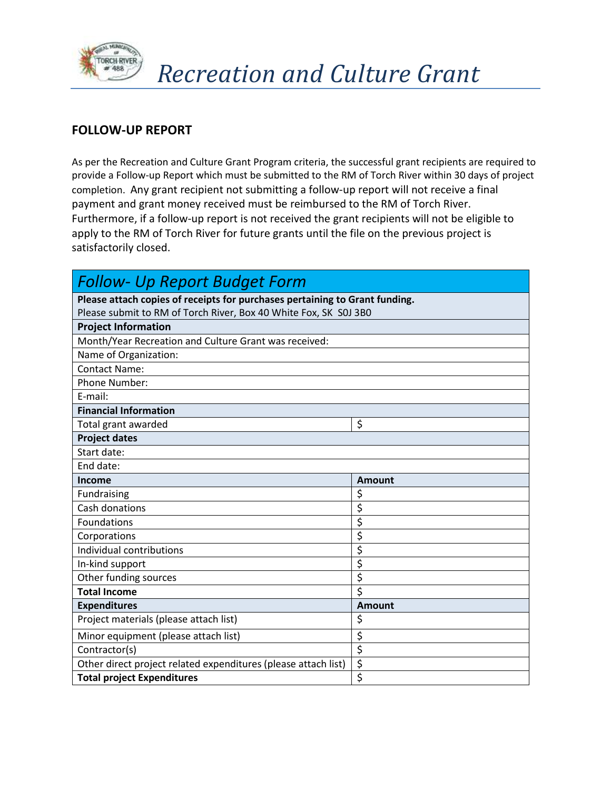

## **FOLLOW-UP REPORT**

As per the Recreation and Culture Grant Program criteria, the successful grant recipients are required to provide a Follow-up Report which must be submitted to the RM of Torch River within 30 days of project completion. Any grant recipient not submitting a follow-up report will not receive a final payment and grant money received must be reimbursed to the RM of Torch River. Furthermore, if a follow-up report is not received the grant recipients will not be eligible to apply to the RM of Torch River for future grants until the file on the previous project is satisfactorily closed.

| <b>Follow- Up Report Budget Form</b>                                        |               |  |
|-----------------------------------------------------------------------------|---------------|--|
| Please attach copies of receipts for purchases pertaining to Grant funding. |               |  |
| Please submit to RM of Torch River, Box 40 White Fox, SK S0J 3B0            |               |  |
| <b>Project Information</b>                                                  |               |  |
| Month/Year Recreation and Culture Grant was received:                       |               |  |
| Name of Organization:                                                       |               |  |
| <b>Contact Name:</b>                                                        |               |  |
| Phone Number:                                                               |               |  |
| E-mail:                                                                     |               |  |
| <b>Financial Information</b>                                                |               |  |
| Total grant awarded                                                         | \$            |  |
| <b>Project dates</b>                                                        |               |  |
| Start date:                                                                 |               |  |
| End date:                                                                   |               |  |
| <b>Income</b>                                                               | <b>Amount</b> |  |
| Fundraising                                                                 | \$            |  |
| Cash donations                                                              | \$            |  |
| Foundations                                                                 | \$            |  |
| Corporations                                                                | \$            |  |
| Individual contributions                                                    | \$            |  |
| In-kind support                                                             | \$            |  |
| Other funding sources                                                       | \$            |  |
| <b>Total Income</b>                                                         | \$            |  |
| <b>Expenditures</b>                                                         | <b>Amount</b> |  |
| Project materials (please attach list)                                      | \$            |  |
| Minor equipment (please attach list)                                        | \$            |  |
| Contractor(s)                                                               | \$            |  |
| Other direct project related expenditures (please attach list)              | \$            |  |
| <b>Total project Expenditures</b>                                           | \$            |  |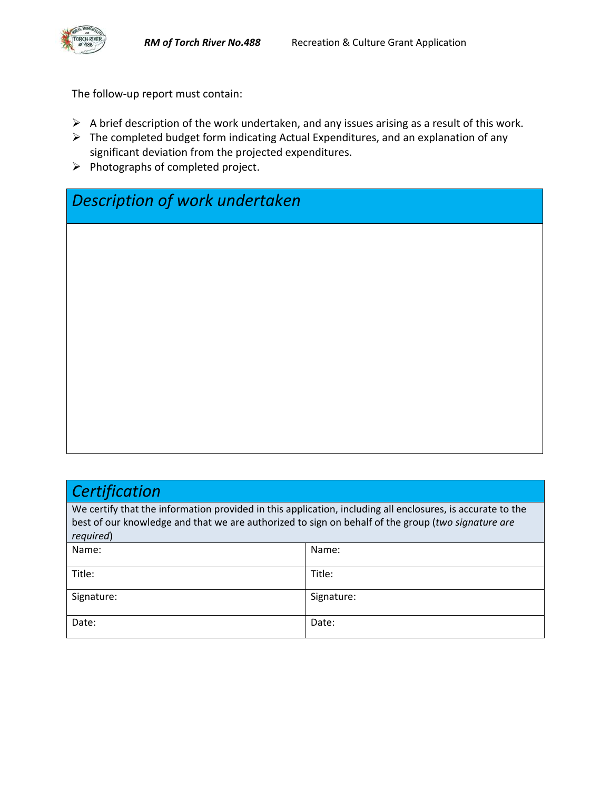The follow-up report must contain:

- $\triangleright$  A brief description of the work undertaken, and any issues arising as a result of this work.
- $\triangleright$  The completed budget form indicating Actual Expenditures, and an explanation of any significant deviation from the projected expenditures.
- $\triangleright$  Photographs of completed project.

*Description of work undertaken*

## *Certification*

We certify that the information provided in this application, including all enclosures, is accurate to the best of our knowledge and that we are authorized to sign on behalf of the group (*two signature are required*)

| Name:      | Name:      |
|------------|------------|
| Title:     | Title:     |
| Signature: | Signature: |
| Date:      | Date:      |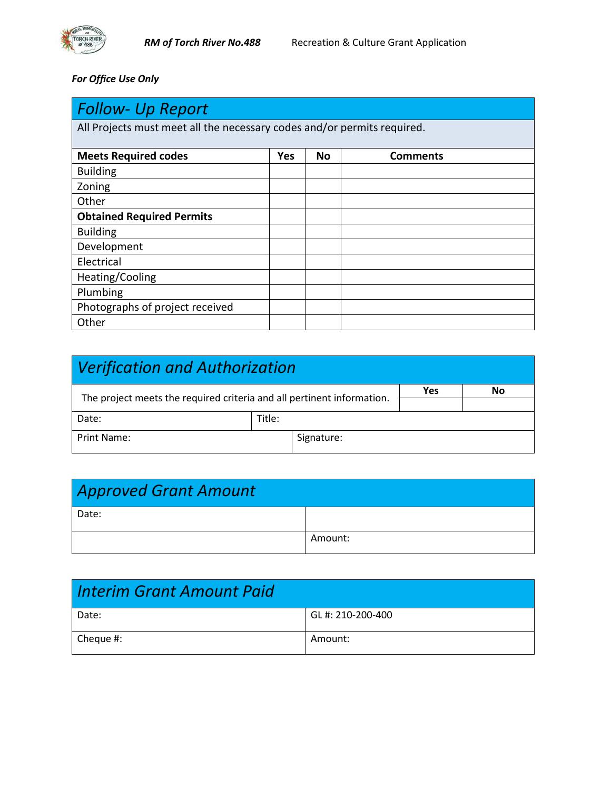

*For Office Use Only*

| Follow- Up Report                                                       |     |    |                 |
|-------------------------------------------------------------------------|-----|----|-----------------|
| All Projects must meet all the necessary codes and/or permits required. |     |    |                 |
|                                                                         |     |    |                 |
| <b>Meets Required codes</b>                                             | Yes | No | <b>Comments</b> |
| <b>Building</b>                                                         |     |    |                 |
| Zoning                                                                  |     |    |                 |
| Other                                                                   |     |    |                 |
| <b>Obtained Required Permits</b>                                        |     |    |                 |
| <b>Building</b>                                                         |     |    |                 |
| Development                                                             |     |    |                 |
| Electrical                                                              |     |    |                 |
| Heating/Cooling                                                         |     |    |                 |
| Plumbing                                                                |     |    |                 |
| Photographs of project received                                         |     |    |                 |
| Other                                                                   |     |    |                 |

| Verification and Authorization                                         |        |            |     |    |
|------------------------------------------------------------------------|--------|------------|-----|----|
| The project meets the required criteria and all pertinent information. |        |            | Yes | No |
| Date:                                                                  | Title: |            |     |    |
| Print Name:                                                            |        | Signature: |     |    |

| <b>Approved Grant Amount</b> |         |
|------------------------------|---------|
| Date:                        |         |
|                              | Amount: |

| Interim Grant Amount Paid |                  |
|---------------------------|------------------|
| Date:                     | GL#: 210-200-400 |
| $\vert$ Cheque #:         | Amount:          |